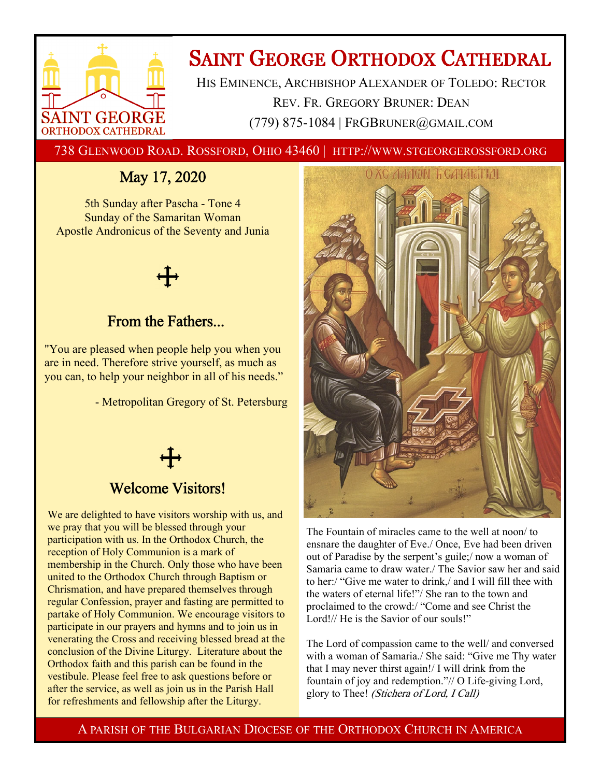

# **SAINT GEORGE ORTHODOX CATHEDRAL**

HIS EMINENCE, ARCHBISHOP ALEXANDER OF TOLEDO: RECTOR REV. FR. GREGORY BRUNER: DEAN (779) 875-1084 | FRGBRUNER@GMAIL.COM

738 GLENWOOD ROAD. ROSSFORD, OHIO 43460 | HTTP://WWW.STGEORGEROSSFORD.ORG

# May 17, 2020

5th Sunday after Pascha - Tone 4 Sunday of the Samaritan Woman Apostle Andronicus of the Seventy and Junia



# From the Fathers...

"You are pleased when people help you when you are in need. Therefore strive yourself, as much as you can, to help your neighbor in all of his needs."

- Metropolitan Gregory of St. Petersburg

# Welcome Visitors!

We are delighted to have visitors worship with us, and we pray that you will be blessed through your participation with us. In the Orthodox Church, the reception of Holy Communion is a mark of membership in the Church. Only those who have been united to the Orthodox Church through Baptism or Chrismation, and have prepared themselves through regular Confession, prayer and fasting are permitted to partake of Holy Communion. We encourage visitors to participate in our prayers and hymns and to join us in venerating the Cross and receiving blessed bread at the conclusion of the Divine Liturgy. Literature about the Orthodox faith and this parish can be found in the vestibule. Please feel free to ask questions before or after the service, as well as join us in the Parish Hall for refreshments and fellowship after the Liturgy.



The Fountain of miracles came to the well at noon/ to ensnare the daughter of Eve./ Once, Eve had been driven out of Paradise by the serpent's guile;/ now a woman of Samaria came to draw water./ The Savior saw her and said to her:/ "Give me water to drink,/ and I will fill thee with the waters of eternal life!"/ She ran to the town and proclaimed to the crowd:/ "Come and see Christ the Lord!// He is the Savior of our souls!"

The Lord of compassion came to the well/ and conversed with a woman of Samaria./ She said: "Give me Thy water that I may never thirst again!/ I will drink from the fountain of joy and redemption."// O Life-giving Lord, glory to Thee! (Stichera of Lord, I Call)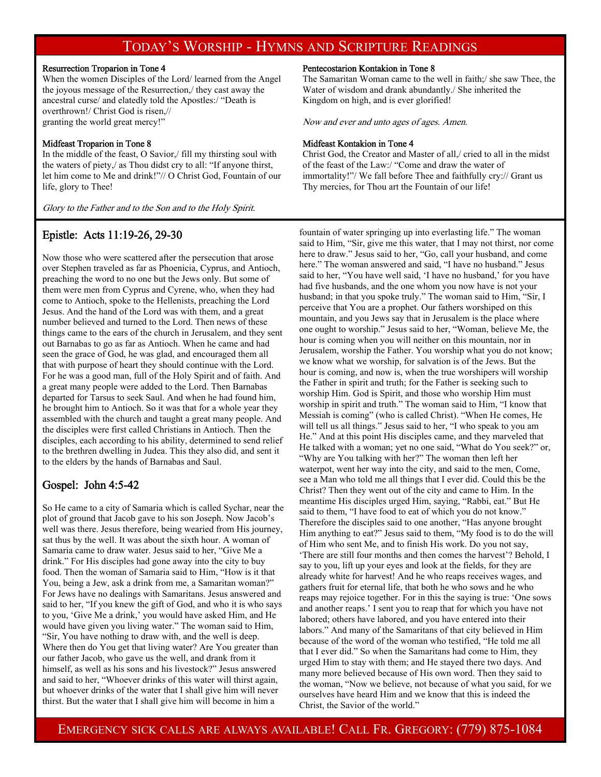# TODAY'S WORSHIP - HYMNS AND SCRIPTURE READINGS

#### Resurrection Troparion in Tone 4

When the women Disciples of the Lord/ learned from the Angel the joyous message of the Resurrection,/ they cast away the ancestral curse/ and elatedly told the Apostles:/ "Death is overthrown!/ Christ God is risen,// granting the world great mercy!"

#### Midfeast Troparion in Tone 8

In the middle of the feast, O Savior,/ fill my thirsting soul with the waters of piety,/ as Thou didst cry to all: "If anyone thirst, let him come to Me and drink!"// O Christ God, Fountain of our life, glory to Thee!

Glory to the Father and to the Son and to the Holy Spirit.

### Epistle: Acts 11:19-26, 29-30

Now those who were scattered after the persecution that arose over Stephen traveled as far as Phoenicia, Cyprus, and Antioch, preaching the word to no one but the Jews only. But some of them were men from Cyprus and Cyrene, who, when they had come to Antioch, spoke to the Hellenists, preaching the Lord Jesus. And the hand of the Lord was with them, and a great number believed and turned to the Lord. Then news of these things came to the ears of the church in Jerusalem, and they sent out Barnabas to go as far as Antioch. When he came and had seen the grace of God, he was glad, and encouraged them all that with purpose of heart they should continue with the Lord. For he was a good man, full of the Holy Spirit and of faith. And a great many people were added to the Lord. Then Barnabas departed for Tarsus to seek Saul. And when he had found him, he brought him to Antioch. So it was that for a whole year they assembled with the church and taught a great many people. And the disciples were first called Christians in Antioch. Then the disciples, each according to his ability, determined to send relief to the brethren dwelling in Judea. This they also did, and sent it to the elders by the hands of Barnabas and Saul.

### Gospel: John 4:5-42

So He came to a city of Samaria which is called Sychar, near the plot of ground that Jacob gave to his son Joseph. Now Jacob's well was there. Jesus therefore, being wearied from His journey, sat thus by the well. It was about the sixth hour. A woman of Samaria came to draw water. Jesus said to her, "Give Me a drink." For His disciples had gone away into the city to buy food. Then the woman of Samaria said to Him, "How is it that You, being a Jew, ask a drink from me, a Samaritan woman?" For Jews have no dealings with Samaritans. Jesus answered and said to her, "If you knew the gift of God, and who it is who says to you, 'Give Me a drink,' you would have asked Him, and He would have given you living water." The woman said to Him, "Sir, You have nothing to draw with, and the well is deep. Where then do You get that living water? Are You greater than our father Jacob, who gave us the well, and drank from it himself, as well as his sons and his livestock?" Jesus answered and said to her, "Whoever drinks of this water will thirst again, but whoever drinks of the water that I shall give him will never thirst. But the water that I shall give him will become in him a

#### Pentecostarion Kontakion in Tone 8

The Samaritan Woman came to the well in faith;/ she saw Thee, the Water of wisdom and drank abundantly./ She inherited the Kingdom on high, and is ever glorified!

Now and ever and unto ages of ages. Amen.

#### Midfeast Kontakion in Tone 4

Christ God, the Creator and Master of all,/ cried to all in the midst of the feast of the Law:/ "Come and draw the water of immortality!"/ We fall before Thee and faithfully cry:// Grant us Thy mercies, for Thou art the Fountain of our life!

fountain of water springing up into everlasting life." The woman said to Him, "Sir, give me this water, that I may not thirst, nor come here to draw." Jesus said to her, "Go, call your husband, and come here." The woman answered and said, "I have no husband." Jesus said to her, "You have well said, 'I have no husband,' for you have had five husbands, and the one whom you now have is not your husband; in that you spoke truly." The woman said to Him, "Sir, I perceive that You are a prophet. Our fathers worshiped on this mountain, and you Jews say that in Jerusalem is the place where one ought to worship." Jesus said to her, "Woman, believe Me, the hour is coming when you will neither on this mountain, nor in Jerusalem, worship the Father. You worship what you do not know; we know what we worship, for salvation is of the Jews. But the hour is coming, and now is, when the true worshipers will worship the Father in spirit and truth; for the Father is seeking such to worship Him. God is Spirit, and those who worship Him must worship in spirit and truth." The woman said to Him, "I know that Messiah is coming" (who is called Christ). "When He comes, He will tell us all things." Jesus said to her, "I who speak to you am He." And at this point His disciples came, and they marveled that He talked with a woman; yet no one said, "What do You seek?" or, "Why are You talking with her?" The woman then left her waterpot, went her way into the city, and said to the men, Come, see a Man who told me all things that I ever did. Could this be the Christ? Then they went out of the city and came to Him. In the meantime His disciples urged Him, saying, "Rabbi, eat." But He said to them, "I have food to eat of which you do not know." Therefore the disciples said to one another, "Has anyone brought Him anything to eat?" Jesus said to them, "My food is to do the will of Him who sent Me, and to finish His work. Do you not say, 'There are still four months and then comes the harvest'? Behold, I say to you, lift up your eyes and look at the fields, for they are already white for harvest! And he who reaps receives wages, and gathers fruit for eternal life, that both he who sows and he who reaps may rejoice together. For in this the saying is true: 'One sows and another reaps.' I sent you to reap that for which you have not labored; others have labored, and you have entered into their labors." And many of the Samaritans of that city believed in Him because of the word of the woman who testified, "He told me all that I ever did." So when the Samaritans had come to Him, they urged Him to stay with them; and He stayed there two days. And many more believed because of His own word. Then they said to the woman, "Now we believe, not because of what you said, for we ourselves have heard Him and we know that this is indeed the Christ, the Savior of the world."

EMERGENCY SICK CALLS ARE ALWAYS AVAILABLE! CALL FR. GREGORY: (779) 875-1084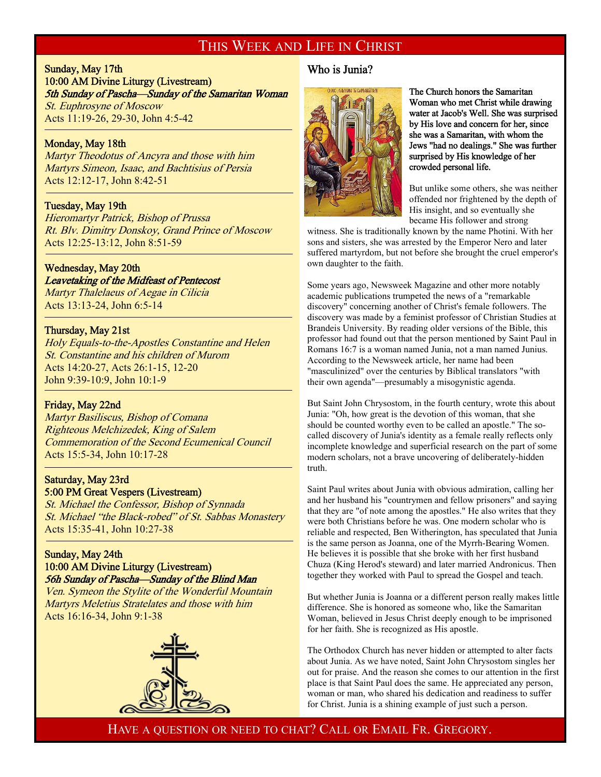# THIS WEEK AND LIFE IN CHRIST

#### Sunday, May 17th

10:00 AM Divine Liturgy (Livestream) 5th Sunday of Pascha—Sunday of the Samaritan Woman St. Euphrosyne of Moscow Acts 11:19-26, 29-30, John 4:5-42 <sup>-</sup>

#### Monday, May 18th

Martyr Theodotus of Ancyra and those with him Martyrs Simeon, Isaac, and Bachtisius of Persia Acts 12:12-17, John 8:42-51

#### Tuesday, May 19th

Hieromartyr Patrick, Bishop of Prussa Rt. Blv. Dimitry Donskoy, Grand Prince of Moscow Acts 12:25-13:12, John 8:51-59

#### Wednesday, May 20th Leavetaking of the Midfeast of Pentecost

Martyr Thalelaeus of Aegae in Cilicia Acts 13:13-24, John 6:5-14

#### Thursday, May 21st

<sup>-</sup>

<sup>-</sup>

Holy Equals-to-the-Apostles Constantine and Helen St. Constantine and his children of Murom Acts 14:20-27, Acts 26:1-15, 12-20 John 9:39-10:9, John 10:1-9

#### Friday, May 22nd

Martyr Basiliscus, Bishop of Comana Righteous Melchizedek, King of Salem Commemoration of the Second Ecumenical Council Acts 15:5-34, John 10:17-28

#### Saturday, May 23rd 5:00 PM Great Vespers (Livestream)

St. Michael the Confessor, Bishop of Synnada St. Michael "the Black-robed" of St. Sabbas Monastery Acts 15:35-41, John 10:27-38

#### Sunday, May 24th 10:00 AM Divine Liturgy (Livestream) 56h Sunday of Pascha—Sunday of the Blind Man

Ven. Symeon the Stylite of the Wonderful Mountain Martyrs Meletius Stratelates and those with him Acts 16:16-34, John 9:1-38



#### Who is Junia?



The Church honors the Samaritan Woman who met Christ while drawing water at Jacob's Well. She was surprised by His love and concern for her, since she was a Samaritan, with whom the Jews "had no dealings." She was further surprised by His knowledge of her crowded personal life.

But unlike some others, she was neither offended nor frightened by the depth of His insight, and so eventually she became His follower and strong

witness. She is traditionally known by the name Photini. With her sons and sisters, she was arrested by the Emperor Nero and later suffered martyrdom, but not before she brought the cruel emperor's own daughter to the faith.

Some years ago, Newsweek Magazine and other more notably academic publications trumpeted the news of a "remarkable discovery" concerning another of Christ's female followers. The discovery was made by a feminist professor of Christian Studies at Brandeis University. By reading older versions of the Bible, this professor had found out that the person mentioned by Saint Paul in Romans 16:7 is a woman named Junia, not a man named Junius. According to the Newsweek article, her name had been "masculinized" over the centuries by Biblical translators "with their own agenda"—presumably a misogynistic agenda.

But Saint John Chrysostom, in the fourth century, wrote this about Junia: "Oh, how great is the devotion of this woman, that she should be counted worthy even to be called an apostle." The socalled discovery of Junia's identity as a female really reflects only incomplete knowledge and superficial research on the part of some modern scholars, not a brave uncovering of deliberately-hidden truth.

Saint Paul writes about Junia with obvious admiration, calling her and her husband his "countrymen and fellow prisoners" and saying that they are "of note among the apostles." He also writes that they were both Christians before he was. One modern scholar who is reliable and respected, Ben Witherington, has speculated that Junia is the same person as Joanna, one of the Myrrh-Bearing Women. He believes it is possible that she broke with her first husband Chuza (King Herod's steward) and later married Andronicus. Then together they worked with Paul to spread the Gospel and teach.

But whether Junia is Joanna or a different person really makes little difference. She is honored as someone who, like the Samaritan Woman, believed in Jesus Christ deeply enough to be imprisoned for her faith. She is recognized as His apostle.

The Orthodox Church has never hidden or attempted to alter facts about Junia. As we have noted, Saint John Chrysostom singles her out for praise. And the reason she comes to our attention in the first place is that Saint Paul does the same. He appreciated any person, woman or man, who shared his dedication and readiness to suffer for Christ. Junia is a shining example of just such a person.

HAVE A QUESTION OR NEED TO CHAT? CALL OR EMAIL FR. GREGORY.